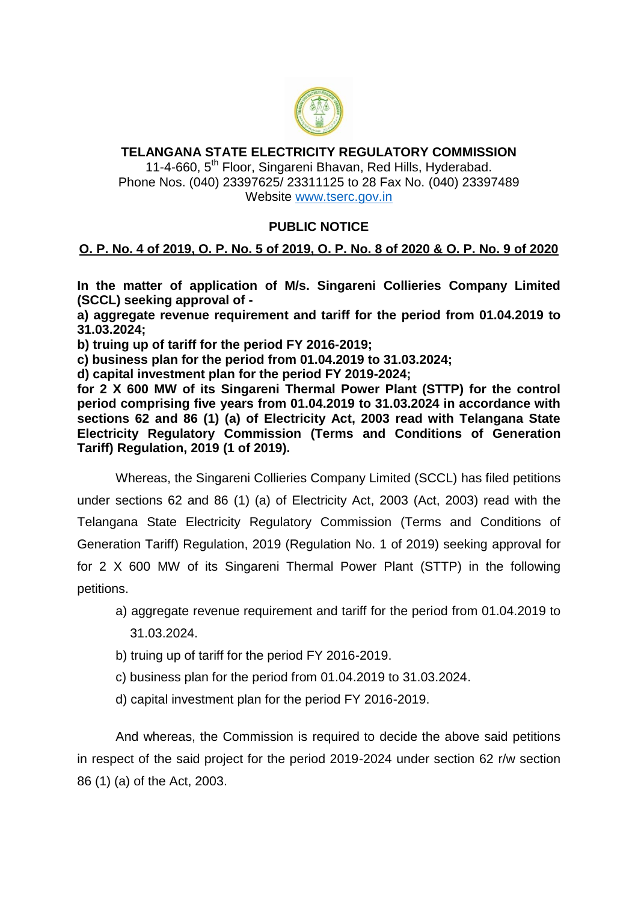

## **TELANGANA STATE ELECTRICITY REGULATORY COMMISSION** 11-4-660, 5<sup>th</sup> Floor, Singareni Bhavan, Red Hills, Hyderabad.

Phone Nos. (040) 23397625/ 23311125 to 28 Fax No. (040) 23397489 Website [www.tserc.gov.in](http://www.tserc.gov.in/)

## **PUBLIC NOTICE**

## **O. P. No. 4 of 2019, O. P. No. 5 of 2019, O. P. No. 8 of 2020 & O. P. No. 9 of 2020**

**In the matter of application of M/s. Singareni Collieries Company Limited (SCCL) seeking approval of -**

**a) aggregate revenue requirement and tariff for the period from 01.04.2019 to 31.03.2024;**

**b) truing up of tariff for the period FY 2016-2019;**

**c) business plan for the period from 01.04.2019 to 31.03.2024;**

**d) capital investment plan for the period FY 2019-2024;**

**for 2 X 600 MW of its Singareni Thermal Power Plant (STTP) for the control period comprising five years from 01.04.2019 to 31.03.2024 in accordance with sections 62 and 86 (1) (a) of Electricity Act, 2003 read with Telangana State Electricity Regulatory Commission (Terms and Conditions of Generation Tariff) Regulation, 2019 (1 of 2019).**

Whereas, the Singareni Collieries Company Limited (SCCL) has filed petitions under sections 62 and 86 (1) (a) of Electricity Act, 2003 (Act, 2003) read with the Telangana State Electricity Regulatory Commission (Terms and Conditions of Generation Tariff) Regulation, 2019 (Regulation No. 1 of 2019) seeking approval for for 2 X 600 MW of its Singareni Thermal Power Plant (STTP) in the following petitions.

- a) aggregate revenue requirement and tariff for the period from 01.04.2019 to 31.03.2024.
- b) truing up of tariff for the period FY 2016-2019.
- c) business plan for the period from 01.04.2019 to 31.03.2024.
- d) capital investment plan for the period FY 2016-2019.

And whereas, the Commission is required to decide the above said petitions in respect of the said project for the period 2019-2024 under section 62 r/w section 86 (1) (a) of the Act, 2003.